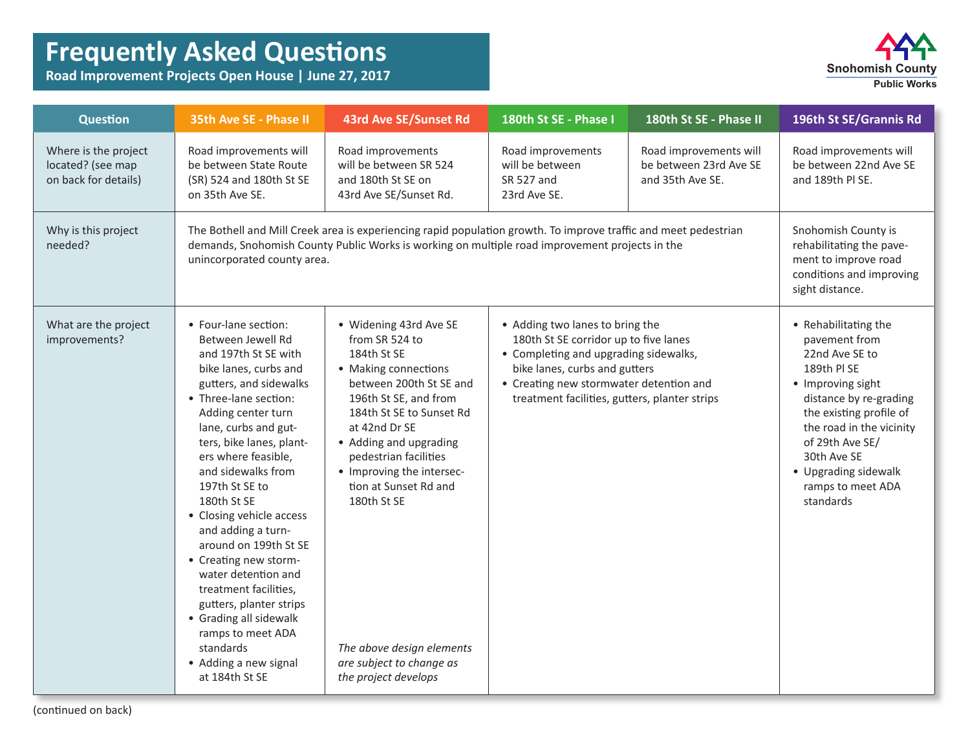## **Frequently Asked Questions**

**Road Improvement Projects Open House | June 27, 2017**



| <b>Question</b>                                                   | <b>35th Ave SE - Phase II</b>                                                                                                                                                                                                                                                                                                                                                                                                                                                                                                                                                               | 43rd Ave SE/Sunset Rd                                                                                                                                                                                                                                                                                                                                                                     | 180th St SE - Phase I                                                                                                                                                                                                                          | 180th St SE - Phase II                                               | 196th St SE/Grannis Rd                                                                                                                                                                                                                                                   |
|-------------------------------------------------------------------|---------------------------------------------------------------------------------------------------------------------------------------------------------------------------------------------------------------------------------------------------------------------------------------------------------------------------------------------------------------------------------------------------------------------------------------------------------------------------------------------------------------------------------------------------------------------------------------------|-------------------------------------------------------------------------------------------------------------------------------------------------------------------------------------------------------------------------------------------------------------------------------------------------------------------------------------------------------------------------------------------|------------------------------------------------------------------------------------------------------------------------------------------------------------------------------------------------------------------------------------------------|----------------------------------------------------------------------|--------------------------------------------------------------------------------------------------------------------------------------------------------------------------------------------------------------------------------------------------------------------------|
| Where is the project<br>located? (see map<br>on back for details) | Road improvements will<br>be between State Route<br>(SR) 524 and 180th St SE<br>on 35th Ave SE.                                                                                                                                                                                                                                                                                                                                                                                                                                                                                             | Road improvements<br>will be between SR 524<br>and 180th St SE on<br>43rd Ave SE/Sunset Rd.                                                                                                                                                                                                                                                                                               | Road improvements<br>will be between<br>SR 527 and<br>23rd Ave SE.                                                                                                                                                                             | Road improvements will<br>be between 23rd Ave SE<br>and 35th Ave SE. | Road improvements will<br>be between 22nd Ave SE<br>and 189th Pl SE.                                                                                                                                                                                                     |
| Why is this project<br>needed?                                    | The Bothell and Mill Creek area is experiencing rapid population growth. To improve traffic and meet pedestrian<br>demands, Snohomish County Public Works is working on multiple road improvement projects in the<br>unincorporated county area.                                                                                                                                                                                                                                                                                                                                            | Snohomish County is<br>rehabilitating the pave-<br>ment to improve road<br>conditions and improving<br>sight distance.                                                                                                                                                                                                                                                                    |                                                                                                                                                                                                                                                |                                                                      |                                                                                                                                                                                                                                                                          |
| What are the project<br>improvements?                             | • Four-lane section:<br>Between Jewell Rd<br>and 197th St SE with<br>bike lanes, curbs and<br>gutters, and sidewalks<br>• Three-lane section:<br>Adding center turn<br>lane, curbs and gut-<br>ters, bike lanes, plant-<br>ers where feasible,<br>and sidewalks from<br>197th St SE to<br>180th St SE<br>• Closing vehicle access<br>and adding a turn-<br>around on 199th St SE<br>• Creating new storm-<br>water detention and<br>treatment facilities,<br>gutters, planter strips<br>• Grading all sidewalk<br>ramps to meet ADA<br>standards<br>• Adding a new signal<br>at 184th St SE | · Widening 43rd Ave SE<br>from SR 524 to<br>184th St SE<br>• Making connections<br>between 200th St SE and<br>196th St SE, and from<br>184th St SE to Sunset Rd<br>at 42nd Dr SE<br>• Adding and upgrading<br>pedestrian facilities<br>• Improving the intersec-<br>tion at Sunset Rd and<br>180th St SE<br>The above design elements<br>are subject to change as<br>the project develops | • Adding two lanes to bring the<br>180th St SE corridor up to five lanes<br>• Completing and upgrading sidewalks,<br>bike lanes, curbs and gutters<br>• Creating new stormwater detention and<br>treatment facilities, gutters, planter strips |                                                                      | • Rehabilitating the<br>pavement from<br>22nd Ave SE to<br>189th PI SE<br>• Improving sight<br>distance by re-grading<br>the existing profile of<br>the road in the vicinity<br>of 29th Ave SE/<br>30th Ave SE<br>• Upgrading sidewalk<br>ramps to meet ADA<br>standards |